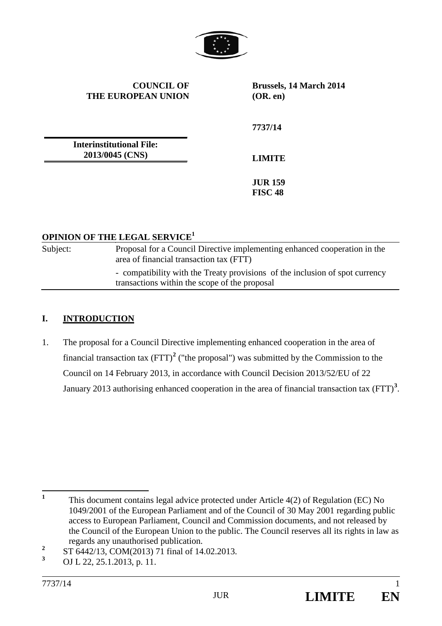

**COUNCIL OF THE EUROPEAN UNION** **Brussels, 14 March 2014 (OR. en)**

**Interinstitutional File:**

**LIMITE**

**7737/14**

**JUR 159 FISC 48**

### **OPINION OF THE LEGAL SERVICE<sup>1</sup>**

**2013/0045 (CNS)**

Subject: Proposal for a Council Directive implementing enhanced cooperation in the area of financial transaction tax (FTT) - compatibility with the Treaty provisions of the inclusion of spot currency transactions within the scope of the proposal

## **I. INTRODUCTION**

1. The proposal for a Council Directive implementing enhanced cooperation in the area of financial transaction tax  $(FTT)^2$  $(FTT)^2$  ("the proposal") was submitted by the Commission to the Council on 14 February 2013, in accordance with Council Decision 2013/52/EU of 22 January 2013 authorising enhanced cooperation in the area of financial transaction tax (FTT)**[3](#page-0-1)** .

<sup>&</sup>lt;sup>1</sup> This document contains legal advice protected under Article 4(2) of Regulation (EC) No 1049/2001 of the European Parliament and of the Council of 30 May 2001 regarding public access to European Parliament, Council and Commission documents, and not released by the Council of the European Union to the public. The Council reserves all its rights in law as regards any unauthorised publication.

<span id="page-0-0"></span>**<sup>2</sup>** ST 6442/13, COM(2013) 71 final of 14.02.2013.

<span id="page-0-1"></span>**<sup>3</sup>** OJ L 22, 25.1.2013, p. 11.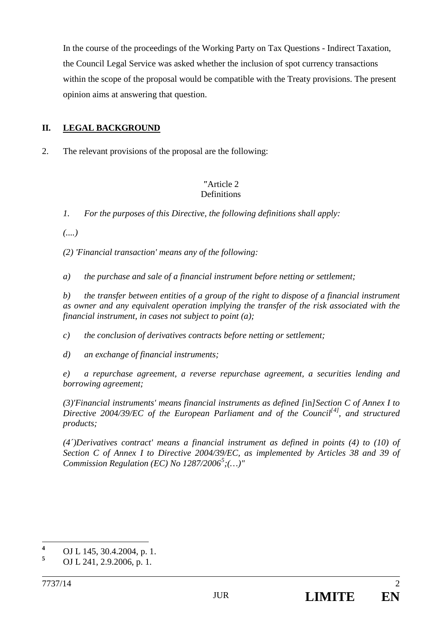In the course of the proceedings of the Working Party on Tax Questions - Indirect Taxation, the Council Legal Service was asked whether the inclusion of spot currency transactions within the scope of the proposal would be compatible with the Treaty provisions. The present opinion aims at answering that question.

# **II. LEGAL BACKGROUND**

2. The relevant provisions of the proposal are the following:

### *"*Article 2 **Definitions**

*1. For the purposes of this Directive, the following definitions shall apply:*

*(....)*

*(2) 'Financial transaction' means any of the following:*

*a) the purchase and sale of a financial instrument before netting or settlement;* 

*b) the transfer between entities of a group of the right to dispose of a financial instrument as owner and any equivalent operation implying the transfer of the risk associated with the financial instrument, in cases not subject to point (a);*

*c) the conclusion of derivatives contracts before netting or settlement;*

*d) an exchange of financial instruments;*

*e) a repurchase agreement, a reverse repurchase agreement, a securities lending and borrowing agreement;*

*(3)'Financial instruments' means financial instruments as defined [*in*]Section C of Annex I to Directive 2004/39/EC of the European Parliament and of the Council[[4](#page-0-0)] , and structured products;*

*(4´)Derivatives contract' means a financial instrument as defined in points (4) to (10) of Section C of Annex I to Directive 2004/39/EC, as implemented by Articles 38 and 39 of Commission Regulation (EC) No 1287/2006[5](#page-1-0) ;(…)"*

<span id="page-1-1"></span>**<sup>4</sup>** OJ L 145, 30.4.2004, p. 1.

<span id="page-1-0"></span>**<sup>5</sup>** OJ L 241, 2.9.2006, p. 1.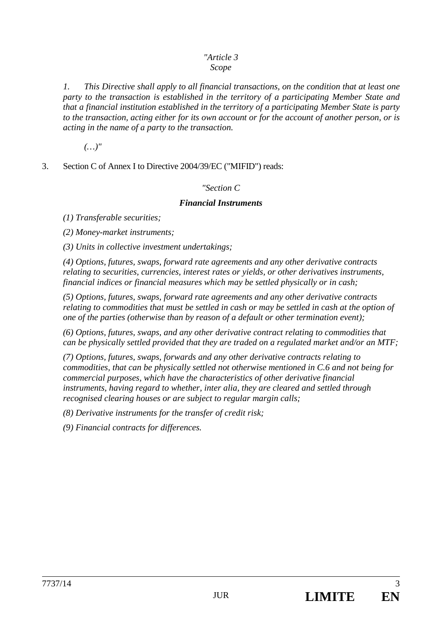### *"Article 3 Scope*

*1. This Directive shall apply to all financial transactions, on the condition that at least one party to the transaction is established in the territory of a participating Member State and that a financial institution established in the territory of a participating Member State is party to the transaction, acting either for its own account or for the account of another person, or is acting in the name of a party to the transaction.*

*(…)"*

3. Section C of Annex I to Directive 2004/39/EC ("MIFID") reads:

### *"Section C*

### *Financial Instruments*

*(1) Transferable securities;* 

*(2) Money-market instruments;* 

*(3) Units in collective investment undertakings;* 

*(4) Options, futures, swaps, forward rate agreements and any other derivative contracts relating to securities, currencies, interest rates or yields, or other derivatives instruments, financial indices or financial measures which may be settled physically or in cash;* 

*(5) Options, futures, swaps, forward rate agreements and any other derivative contracts relating to commodities that must be settled in cash or may be settled in cash at the option of one of the parties (otherwise than by reason of a default or other termination event);* 

*(6) Options, futures, swaps, and any other derivative contract relating to commodities that can be physically settled provided that they are traded on a regulated market and/or an MTF;*

*(7) Options, futures, swaps, forwards and any other derivative contracts relating to commodities, that can be physically settled not otherwise mentioned in C.6 and not being for commercial purposes, which have the characteristics of other derivative financial instruments, having regard to whether, inter alia, they are cleared and settled through recognised clearing houses or are subject to regular margin calls;* 

*(8) Derivative instruments for the transfer of credit risk;* 

*(9) Financial contracts for differences.*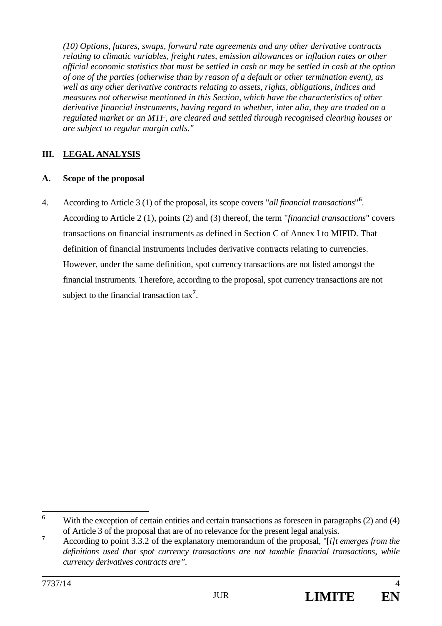*(10) Options, futures, swaps, forward rate agreements and any other derivative contracts relating to climatic variables, freight rates, emission allowances or inflation rates or other official economic statistics that must be settled in cash or may be settled in cash at the option of one of the parties (otherwise than by reason of a default or other termination event), as well as any other derivative contracts relating to assets, rights, obligations, indices and measures not otherwise mentioned in this Section, which have the characteristics of other derivative financial instruments, having regard to whether, inter alia, they are traded on a regulated market or an MTF, are cleared and settled through recognised clearing houses or are subject to regular margin calls."*

# **III. LEGAL ANALYSIS**

### **A. Scope of the proposal**

4. According to Article 3 (1) of the proposal, its scope covers "*all financial transactions*" **[6](#page-1-1)** . According to Article 2 (1), points (2) and (3) thereof, the term "*financial transactions*" covers transactions on financial instruments as defined in Section C of Annex I to MIFID. That definition of financial instruments includes derivative contracts relating to currencies. However, under the same definition, spot currency transactions are not listed amongst the financial instruments. Therefore, according to the proposal, spot currency transactions are not subject to the financial transaction tax**[7](#page-3-0)** .

<sup>&</sup>lt;sup>6</sup> With the exception of certain entities and certain transactions as foreseen in paragraphs (2) and (4) of Article 3 of the proposal that are of no relevance for the present legal analysis.

<span id="page-3-1"></span><span id="page-3-0"></span>**<sup>7</sup>** According to point 3.3.2 of the explanatory memorandum of the proposal, "[*i]t emerges from the definitions used that spot currency transactions are not taxable financial transactions, while currency derivatives contracts are".*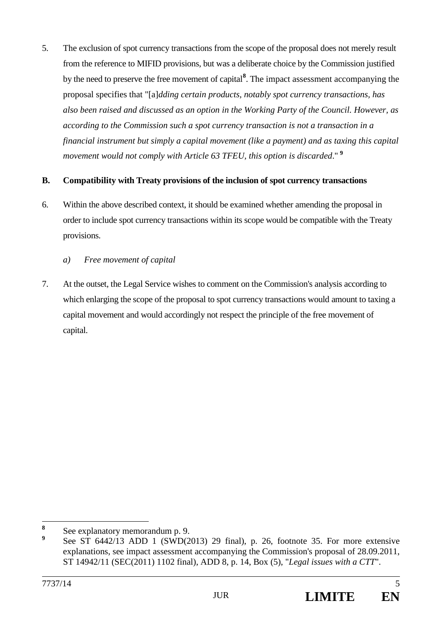5. The exclusion of spot currency transactions from the scope of the proposal does not merely result from the reference to MIFID provisions, but was a deliberate choice by the Commission justified by the need to preserve the free movement of capital**[8](#page-3-1)** . The impact assessment accompanying the proposal specifies that "[a]*dding certain products, notably spot currency transactions, has also been raised and discussed as an option in the Working Party of the Council. However, as according to the Commission such a spot currency transaction is not a transaction in a financial instrument but simply a capital movement (like a payment) and as taxing this capital movement would not comply with Article 63 TFEU, this option is discarded*." **[9](#page-4-0)**

### **B. Compatibility with Treaty provisions of the inclusion of spot currency transactions**

- 6. Within the above described context, it should be examined whether amending the proposal in order to include spot currency transactions within its scope would be compatible with the Treaty provisions.
	- *a) Free movement of capital*
- 7. At the outset, the Legal Service wishes to comment on the Commission's analysis according to which enlarging the scope of the proposal to spot currency transactions would amount to taxing a capital movement and would accordingly not respect the principle of the free movement of capital.

<span id="page-4-1"></span>**<sup>8</sup>** See explanatory memorandum p. 9.

<span id="page-4-0"></span>**<sup>9</sup>** See ST 6442/13 ADD 1 (SWD(2013) 29 final), p. 26, footnote 35. For more extensive explanations, see impact assessment accompanying the Commission's proposal of 28.09.2011, ST 14942/11 (SEC(2011) 1102 final), ADD 8, p. 14, Box (5), "*Legal issues with a CTT*".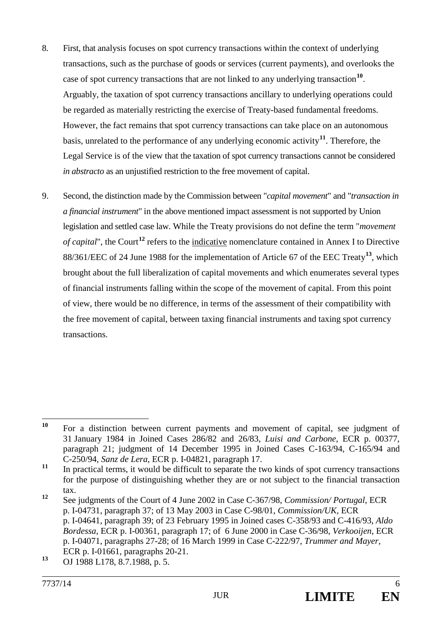- 8. First, that analysis focuses on spot currency transactions within the context of underlying transactions, such as the purchase of goods or services (current payments), and overlooks the case of spot currency transactions that are not linked to any underlying transaction**[10](#page-4-1)**. Arguably, the taxation of spot currency transactions ancillary to underlying operations could be regarded as materially restricting the exercise of Treaty-based fundamental freedoms. However, the fact remains that spot currency transactions can take place on an autonomous basis, unrelated to the performance of any underlying economic activity**[11](#page-5-0)**. Therefore, the Legal Service is of the view that the taxation of spot currency transactions cannot be considered *in abstracto* as an unjustified restriction to the free movement of capital.
- 9. Second, the distinction made by the Commission between "*capital movement*" and "*transaction in a financial instrument*" in the above mentioned impact assessment is not supported by Union legislation and settled case law. While the Treaty provisions do not define the term "*movement of capital*", the Court<sup>[12](#page-5-1)</sup> refers to the indicative nomenclature contained in Annex I to Directive 88/361/EEC of 24 June 1988 for the implementation of Article 67 of the EEC Treaty**[13](#page-5-2)**, which brought about the full liberalization of capital movements and which enumerates several types of financial instruments falling within the scope of the movement of capital. From this point of view, there would be no difference, in terms of the assessment of their compatibility with the free movement of capital, between taxing financial instruments and taxing spot currency transactions.

**<sup>10</sup>** For a distinction between current payments and movement of capital, see judgment of 31 January 1984 in Joined Cases 286/82 and 26/83, *Luisi and Carbone*, ECR p. 00377, paragraph 21; judgment of 14 December 1995 in Joined Cases C-163/94, C-165/94 and C-250/94, *Sanz de Lera*, ECR p. I-04821, paragraph 17.

<span id="page-5-3"></span><span id="page-5-0"></span><sup>&</sup>lt;sup>11</sup> In practical terms, it would be difficult to separate the two kinds of spot currency transactions for the purpose of distinguishing whether they are or not subject to the financial transaction tax.

<span id="page-5-1"></span>**<sup>12</sup>** See judgments of the Court of 4 June 2002 in Case C-367/98, *Commission/ Portugal*, ECR p. I-04731, paragraph 37; of 13 May 2003 in Case C-98/01, *Commission/UK,* ECR p. I-04641, paragraph 39; of 23 February 1995 in Joined cases C-358/93 and C-416/93, *Aldo Bordessa*, ECR p. I-00361, paragraph 17; of 6 June 2000 in Case C-36/98, *Verkooijen*, ECR p. I-04071, paragraphs 27-28; of 16 March 1999 in Case C-222/97, *Trummer and Mayer*, ECR p. I-01661, paragraphs 20-21.

<span id="page-5-2"></span>**<sup>13</sup>** OJ 1988 L178, 8.7.1988, p. 5.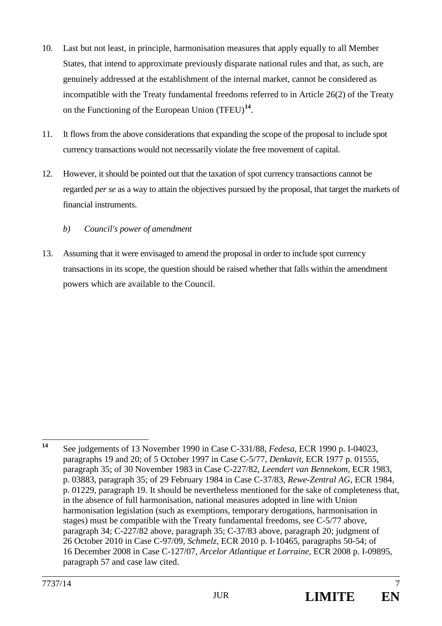- 10. Last but not least, in principle, harmonisation measures that apply equally to all Member States, that intend to approximate previously disparate national rules and that, as such, are genuinely addressed at the establishment of the internal market, cannot be considered as incompatible with the Treaty fundamental freedoms referred to in Article 26(2) of the Treaty on the Functioning of the European Union (TFEU)**[14](#page-5-3)**.
- 11. It flows from the above considerations that expanding the scope of the proposal to include spot currency transactions would not necessarily violate the free movement of capital.
- 12. However, it should be pointed out that the taxation of spot currency transactions cannot be regarded *per se* as a way to attain the objectives pursued by the proposal, that target the markets of financial instruments.

# *b) Council's power of amendment*

13. Assuming that it were envisaged to amend the proposal in order to include spot currency transactions in its scope, the question should be raised whether that falls within the amendment powers which are available to the Council.

<span id="page-6-0"></span>**<sup>14</sup>** See judgements of 13 November 1990 in Case C-331/88, *Fedesa*, ECR 1990 p. I-04023, paragraphs 19 and 20; of 5 October 1997 in Case C-5/77, *Denkavit*, ECR 1977 p. 01555, paragraph 35; of 30 November 1983 in Case C-227/82, *Leendert van Bennekom*, ECR 1983, p. 03883, paragraph 35; of 29 February 1984 in Case C-37/83, *Rewe-Zentral AG*, ECR 1984, p. 01229, paragraph 19. It should be nevertheless mentioned for the sake of completeness that, in the absence of full harmonisation, national measures adopted in line with Union harmonisation legislation (such as exemptions, temporary derogations, harmonisation in stages) must be compatible with the Treaty fundamental freedoms, see C-5/77 above, paragraph 34; C-227/82 above, paragraph 35; C-37/83 above, paragraph 20; judgment of 26 October 2010 in Case C-97/09, *Schmelz*, ECR 2010 p. I-10465, paragraphs 50-54; of 16 December 2008 in Case C-127/07, *Arcelor Atlantique et Lorraine*, ECR 2008 p. I-09895, paragraph 57 and case law cited.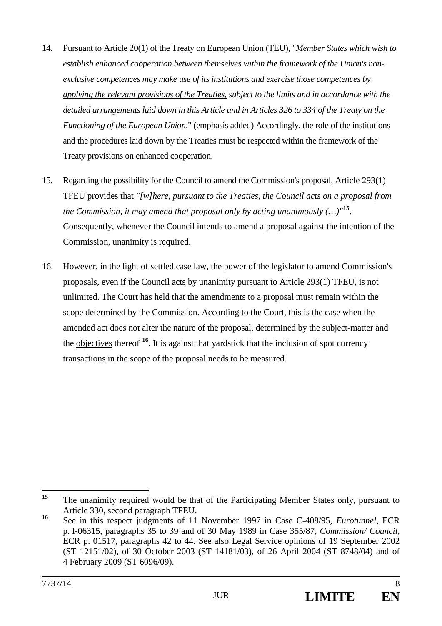- 14. Pursuant to Article 20(1) of the Treaty on European Union (TEU), "*Member States which wish to establish enhanced cooperation between themselves within the framework of the Union's nonexclusive competences may make use of its institutions and exercise those competences by applying the relevant provisions of the Treaties, subject to the limits and in accordance with the detailed arrangements laid down in this Article and in Articles 326 to 334 of the Treaty on the Functioning of the European Union*." (emphasis added) Accordingly, the role of the institutions and the procedures laid down by the Treaties must be respected within the framework of the Treaty provisions on enhanced cooperation.
- 15. Regarding the possibility for the Council to amend the Commission's proposal, Article 293(1) TFEU provides that *"[w]here, pursuant to the Treaties, the Council acts on a proposal from the Commission, it may amend that proposal only by acting unanimously (…)"***[15](#page-6-0)**. Consequently, whenever the Council intends to amend a proposal against the intention of the Commission, unanimity is required.
- 16. However, in the light of settled case law, the power of the legislator to amend Commission's proposals, even if the Council acts by unanimity pursuant to Article 293(1) TFEU, is not unlimited. The Court has held that the amendments to a proposal must remain within the scope determined by the Commission. According to the Court, this is the case when the amended act does not alter the nature of the proposal, determined by the subject-matter and the objectives thereof **[16](#page-7-0)**. It is against that yardstick that the inclusion of spot currency transactions in the scope of the proposal needs to be measured.

<sup>&</sup>lt;sup>15</sup> The unanimity required would be that of the Participating Member States only, pursuant to Article 330, second paragraph TFEU.

<span id="page-7-1"></span><span id="page-7-0"></span>**<sup>16</sup>** See in this respect judgments of 11 November 1997 in Case C-408/95, *Eurotunnel*, ECR p. I-06315, paragraphs 35 to 39 and of 30 May 1989 in Case 355/87, *Commission/ Council*, ECR p. 01517, paragraphs 42 to 44. See also Legal Service opinions of 19 September 2002 (ST 12151/02), of 30 October 2003 (ST 14181/03), of 26 April 2004 (ST 8748/04) and of 4 February 2009 (ST 6096/09).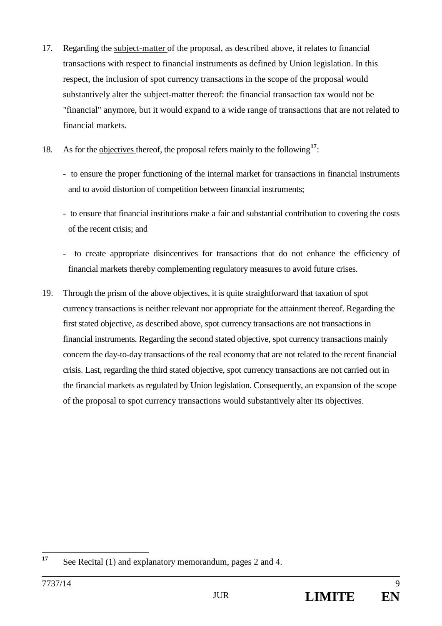- 17. Regarding the subject-matter of the proposal, as described above, it relates to financial transactions with respect to financial instruments as defined by Union legislation. In this respect, the inclusion of spot currency transactions in the scope of the proposal would substantively alter the subject-matter thereof: the financial transaction tax would not be "financial" anymore, but it would expand to a wide range of transactions that are not related to financial markets.
- 18. As for the objectives thereof, the proposal refers mainly to the following<sup>[17](#page-7-1)</sup>:
	- to ensure the proper functioning of the internal market for transactions in financial instruments and to avoid distortion of competition between financial instruments;
	- to ensure that financial institutions make a fair and substantial contribution to covering the costs of the recent crisis; and
	- to create appropriate disincentives for transactions that do not enhance the efficiency of financial markets thereby complementing regulatory measures to avoid future crises.
- 19. Through the prism of the above objectives, it is quite straightforward that taxation of spot currency transactions is neither relevant nor appropriate for the attainment thereof. Regarding the first stated objective, as described above, spot currency transactions are not transactions in financial instruments. Regarding the second stated objective, spot currency transactions mainly concern the day-to-day transactions of the real economy that are not related to the recent financial crisis. Last, regarding the third stated objective, spot currency transactions are not carried out in the financial markets as regulated by Union legislation. Consequently, an expansion of the scope of the proposal to spot currency transactions would substantively alter its objectives.

**<sup>17</sup>** See Recital (1) and explanatory memorandum, pages 2 and 4.